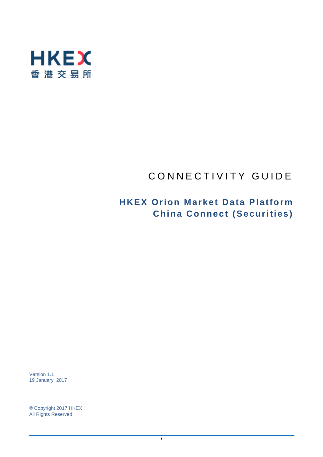

# CONNECTIVITY GUIDE

## **HKEX Orion Market Data Platform China Connect (Securities)**

Version 1.1 19 January 2017

© Copyright 2017 HKEX All Rights Reserved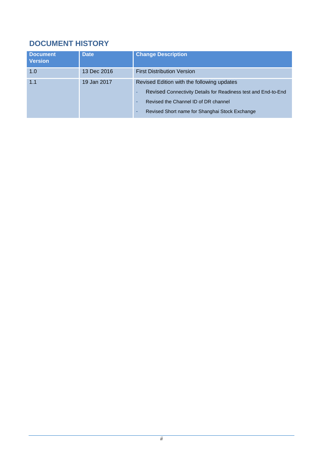## **DOCUMENT HISTORY**

| <b>Document</b><br><b>Version</b> | <b>Date</b> | <b>Change Description</b>                                                                                                                                                                              |
|-----------------------------------|-------------|--------------------------------------------------------------------------------------------------------------------------------------------------------------------------------------------------------|
| 1.0                               | 13 Dec 2016 | <b>First Distribution Version</b>                                                                                                                                                                      |
| 1.1                               | 19 Jan 2017 | Revised Edition with the following updates<br>Revised Connectivity Details for Readiness test and End-to-End<br>Revised the Channel ID of DR channel<br>Revised Short name for Shanghai Stock Exchange |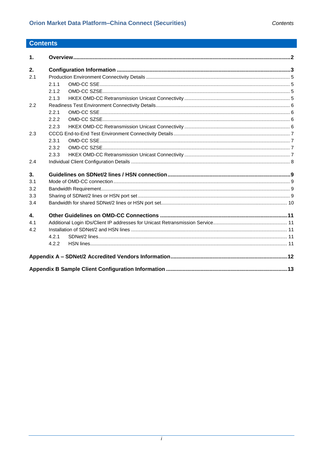## **Contents**

| $\mathbf{1}$ . |       |  |
|----------------|-------|--|
| 2.             |       |  |
| 2.1            |       |  |
|                | 2.1.1 |  |
|                | 2.1.2 |  |
|                | 2.1.3 |  |
| 2.2            |       |  |
|                | 2.2.1 |  |
|                | 2.2.2 |  |
|                | 2.2.3 |  |
| 2.3            |       |  |
|                | 2.3.1 |  |
|                | 2.3.2 |  |
|                | 2.3.3 |  |
| 2.4            |       |  |
| 3.             |       |  |
| 3.1            |       |  |
| 3.2            |       |  |
| 3.3            |       |  |
| 3.4            |       |  |
| 4.             |       |  |
| 4.1            |       |  |
| 4.2            |       |  |
|                | 4.2.1 |  |
|                | 4.2.2 |  |
|                |       |  |
|                |       |  |
|                |       |  |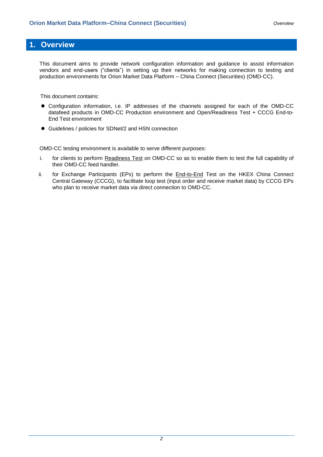## <span id="page-3-0"></span>**1. Overview**

This document aims to provide network configuration information and guidance to assist information vendors and end-users ("clients") in setting up their networks for making connection to testing and production environments for Orion Market Data Platform – China Connect (Securities) (OMD-CC).

This document contains:

- Configuration information, i.e. IP addresses of the channels assigned for each of the OMD-CC datafeed products in OMD-CC Production environment and Open/Readiness Test + CCCG End-to-End Test environment
- Guidelines / policies for SDNet/2 and HSN connection

OMD-CC testing environment is available to serve different purposes:

- i. for clients to perform Readiness Test on OMD-CC so as to enable them to test the full capability of their OMD-CC feed handler.
- ii. for Exchange Participants (EPs) to perform the **End-to-End** Test on the HKEX China Connect Central Gateway (CCCG), to facilitate loop test (input order and receive market data) by CCCG EPs who plan to receive market data via direct connection to OMD-CC.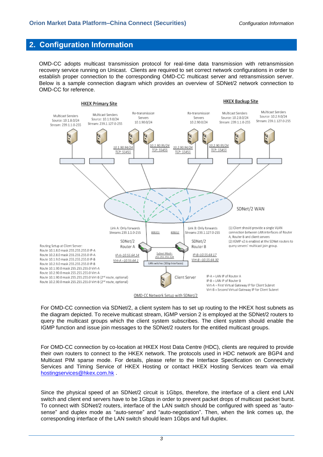## <span id="page-4-0"></span>**2. Configuration Information**

OMD-CC adopts multicast transmission protocol for real-time data transmission with retransmission recovery service running on Unicast. Clients are required to set correct network configurations in order to establish proper connection to the corresponding OMD-CC multicast server and retransmission server. Below is a sample connection diagram which provides an overview of SDNet/2 network connection to OMD-CC for reference.



For OMD-CC connection via SDNet/2, a client system has to set up routing to the HKEX host subnets as the diagram depicted. To receive multicast stream, IGMP version 2 is employed at the SDNet/2 routers to query the multicast groups which the client system subscribes. The client system should enable the IGMP function and issue join messages to the SDNet/2 routers for the entitled multicast groups.

For OMD-CC connection by co-location at HKEX Host Data Centre (HDC), clients are required to provide their own routers to connect to the HKEX network. The protocols used in HDC network are BGP4 and Multicast PIM sparse mode. For details, please refer to the Interface Specification on Connectivity Services and Timing Service of HKEX Hosting or contact HKEX Hosting Services team via email [hostingservices@hkex.com.hk](mailto:hostingservices@hkex.com.hk) .

Since the physical speed of an SDNet/2 circuit is 1Gbps, therefore, the interface of a client end LAN switch and client end servers have to be 1Gbps in order to prevent packet drops of multicast packet burst. To connect with SDNet/2 routers, interface of the LAN switch should be configured with speed as "autosense" and duplex mode as "auto-sense" and "auto-negotiation". Then, when the link comes up, the corresponding interface of the LAN switch should learn 1Gbps and full duplex.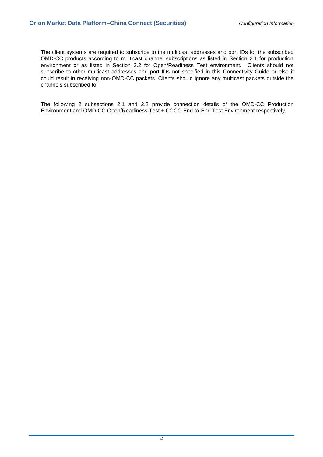The client systems are required to subscribe to the multicast addresses and port IDs for the subscribed OMD-CC products according to multicast channel subscriptions as listed in Section 2.1 for production environment or as listed in Section 2.2 for Open/Readiness Test environment. Clients should not subscribe to other multicast addresses and port IDs not specified in this Connectivity Guide or else it could result in receiving non-OMD-CC packets. Clients should ignore any multicast packets outside the channels subscribed to.

The following 2 subsections 2.1 and 2.2 provide connection details of the OMD-CC Production Environment and OMD-CC Open/Readiness Test + CCCG End-to-End Test Environment respectively.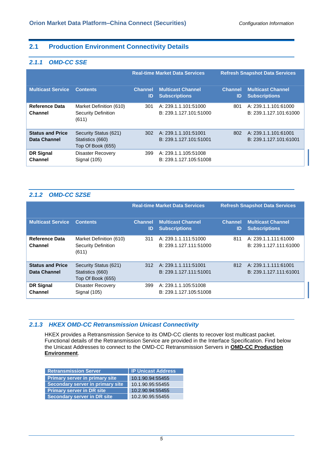#### <span id="page-6-0"></span>**2.1 Production Environment Connectivity Details**

#### <span id="page-6-1"></span>*2.1.1 OMD-CC SSE*

|                                         |                                                                | <b>Real-time Market Data Services</b> |                                                  | <b>Refresh Snapshot Data Services</b> |                                                  |
|-----------------------------------------|----------------------------------------------------------------|---------------------------------------|--------------------------------------------------|---------------------------------------|--------------------------------------------------|
| <b>Multicast Service</b>                | <b>Contents</b>                                                | <b>Channel</b><br>ID                  | <b>Multicast Channel</b><br><b>Subscriptions</b> | <b>Channel</b><br>ID                  | <b>Multicast Channel</b><br><b>Subscriptions</b> |
| <b>Reference Data</b><br><b>Channel</b> | Market Definition (610)<br><b>Security Definition</b><br>(611) | 301                                   | A: 239.1.1.101:51000<br>B: 239.1.127.101:51000   | 801                                   | A: 239.1.1.101:61000<br>B: 239.1.127.101:61000   |
| <b>Status and Price</b><br>Data Channel | Security Status (621)<br>Statistics (660)<br>Top Of Book (655) | 302                                   | A: 239.1.1.101.51001<br>B: 239.1.127.101:51001   | 802                                   | A: 239.1.1.101:61001<br>B: 239.1.127.101:61001   |
| <b>DR Signal</b><br>Channel             | Disaster Recovery<br>Signal (105)                              | 399                                   | A: 239.1.1.105:51008<br>B: 239.1.127.105:51008   |                                       |                                                  |

#### <span id="page-6-2"></span>*2.1.2 OMD-CC SZSE*

|                                         |                                                                |                      | <b>Real-time Market Data Services</b>              |                      | <b>Refresh Snapshot Data Services</b>            |
|-----------------------------------------|----------------------------------------------------------------|----------------------|----------------------------------------------------|----------------------|--------------------------------------------------|
| <b>Multicast Service</b>                | <b>Contents</b>                                                | <b>Channel</b><br>ID | <b>Multicast Channel</b><br><b>Subscriptions</b>   | <b>Channel</b><br>ID | <b>Multicast Channel</b><br><b>Subscriptions</b> |
| Reference Data<br><b>Channel</b>        | Market Definition (610)<br><b>Security Definition</b><br>(611) | 311                  | A: 239.1.1.111:51000<br>B: 239.1.127.111:51000     | 811                  | A: 239.1.1.111:61000<br>B: 239.1.127.111:61000   |
| <b>Status and Price</b><br>Data Channel | Security Status (621)<br>Statistics (660)<br>Top Of Book (655) |                      | 312 A: 239.1.1.111:51001<br>B: 239.1.127.111:51001 | 812                  | A: 239.1.1.111:61001<br>B: 239.1.127.111:61001   |
| <b>DR Signal</b><br>Channel             | <b>Disaster Recovery</b><br>Signal (105)                       | 399                  | A: 239.1.1.105:51008<br>B: 239.1.127.105:51008     |                      |                                                  |

#### <span id="page-6-3"></span>*2.1.3 HKEX OMD-CC Retransmission Unicast Connectivity*

HKEX provides a Retransmission Service to its OMD-CC clients to recover lost multicast packet. Functional details of the Retransmission Service are provided in the Interface Specification. Find below the Unicast Addresses to connect to the OMD-CC Retransmission Servers in **OMD-CC Production Environment**.

| <b>Retransmission Server</b>          | <b>IP Unicast Address</b> |
|---------------------------------------|---------------------------|
| <b>Primary server in primary site</b> | 10.1.90.94:55455          |
| Secondary server in primary site      | 10.1.90.95:55455          |
| <b>Primary server in DR site</b>      | 10.2.90.94:55455          |
| <b>Secondary server in DR site</b>    | 10.2.90.95:55455          |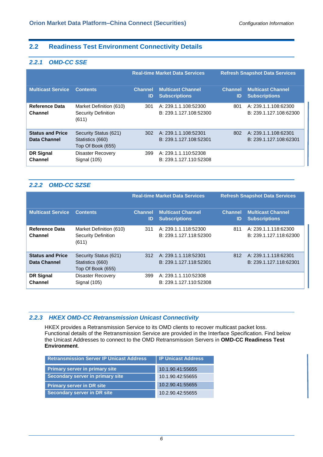#### <span id="page-7-0"></span>**2.2 Readiness Test Environment Connectivity Details**

#### <span id="page-7-1"></span>*2.2.1 OMD-CC SSE*

|                                         |                                                                | <b>Real-time Market Data Services</b> |                                                  | <b>Refresh Snapshot Data Services</b> |                                                  |
|-----------------------------------------|----------------------------------------------------------------|---------------------------------------|--------------------------------------------------|---------------------------------------|--------------------------------------------------|
| <b>Multicast Service</b>                | <b>Contents</b>                                                | <b>Channel</b><br>ID                  | <b>Multicast Channel</b><br><b>Subscriptions</b> | <b>Channel</b><br>ID                  | <b>Multicast Channel</b><br><b>Subscriptions</b> |
| <b>Reference Data</b><br><b>Channel</b> | Market Definition (610)<br><b>Security Definition</b><br>(611) | 301                                   | A: 239.1.1.108:52300<br>B: 239.1.127.108:52300   | 801                                   | A: 239.1.1.108:62300<br>B: 239.1.127.108:62300   |
| <b>Status and Price</b><br>Data Channel | Security Status (621)<br>Statistics (660)<br>Top Of Book (655) | 302                                   | A: 239.1.1.108:52301<br>B: 239.1.127.108:52301   | 802                                   | A: 239.1.1.108.62301<br>B: 239.1.127.108:62301   |
| <b>DR Signal</b><br><b>Channel</b>      | <b>Disaster Recovery</b><br>Signal (105)                       | 399                                   | A: 239.1.1.110:52308<br>B: 239.1.127.110:52308   |                                       |                                                  |

#### <span id="page-7-2"></span>*2.2.2 OMD-CC SZSE*

|                                         |                                                                |                      | <b>Real-time Market Data Services</b>              |                      | <b>Refresh Snapshot Data Services</b>            |
|-----------------------------------------|----------------------------------------------------------------|----------------------|----------------------------------------------------|----------------------|--------------------------------------------------|
| <b>Multicast Service</b>                | <b>Contents</b>                                                | <b>Channel</b><br>ID | <b>Multicast Channel</b><br><b>Subscriptions</b>   | <b>Channel</b><br>ID | <b>Multicast Channel</b><br><b>Subscriptions</b> |
| <b>Reference Data</b><br><b>Channel</b> | Market Definition (610)<br><b>Security Definition</b><br>(611) | 311                  | A: 239.1.1.118:52300<br>B: 239.1.127.118:52300     | 811                  | A: 239.1.1.118:62300<br>B: 239.1.127.118:62300   |
| <b>Status and Price</b><br>Data Channel | Security Status (621)<br>Statistics (660)<br>Top Of Book (655) |                      | 312 A: 239.1.1.118:52301<br>B: 239.1.127.118:52301 | 812                  | A: 239.1.1.118:62301<br>B: 239.1.127.118:62301   |
| <b>DR Signal</b><br>Channel             | <b>Disaster Recovery</b><br>Signal (105)                       | 399                  | A: 239.1.1.110:52308<br>B: 239.1.127.110:52308     |                      |                                                  |

#### <span id="page-7-3"></span>*2.2.3 HKEX OMD-CC Retransmission Unicast Connectivity*

HKEX provides a Retransmission Service to its OMD clients to recover multicast packet loss. Functional details of the Retransmission Service are provided in the Interface Specification. Find below the Unicast Addresses to connect to the OMD Retransmission Servers in **OMD-CC Readiness Test Environment**.

| <b>Retransmission Server IP Unicast Address</b> | <b>I IP Unicast Address</b> |
|-------------------------------------------------|-----------------------------|
| <b>Primary server in primary site</b>           | 10.1.90.41:55655            |
| Secondary server in primary site                | 10.1.90.42:55655            |
| Primary server in DR site                       | 10.2.90.41:55655            |
| <b>Secondary server in DR site</b>              | 10.2.90.42:55655            |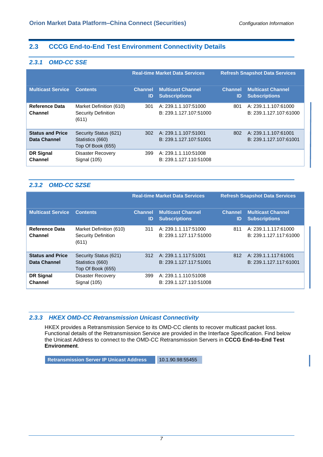### <span id="page-8-0"></span>**2.3 CCCG End-to-End Test Environment Connectivity Details**

#### <span id="page-8-1"></span>*2.3.1 OMD-CC SSE*

|                                         |                                                                |                      | <b>Real-time Market Data Services</b>            |                      | <b>Refresh Snapshot Data Services</b>            |
|-----------------------------------------|----------------------------------------------------------------|----------------------|--------------------------------------------------|----------------------|--------------------------------------------------|
| <b>Multicast Service</b>                | <b>Contents</b>                                                | <b>Channel</b><br>ID | <b>Multicast Channel</b><br><b>Subscriptions</b> | <b>Channel</b><br>ID | <b>Multicast Channel</b><br><b>Subscriptions</b> |
| <b>Reference Data</b><br><b>Channel</b> | Market Definition (610)<br><b>Security Definition</b><br>(611) | 301                  | A: 239.1.1.107:51000<br>B: 239.1.127.107:51000   | 801                  | A: 239.1.1.107:61000<br>B: 239.1.127.107:61000   |
| <b>Status and Price</b><br>Data Channel | Security Status (621)<br>Statistics (660)<br>Top Of Book (655) | 302                  | A: 239.1.1.107:51001<br>B: 239.1.127.107:51001   | 802                  | A: 239.1.1.107:61001<br>B: 239.1.127.107:61001   |
| <b>DR Signal</b><br><b>Channel</b>      | <b>Disaster Recovery</b><br>Signal (105)                       | 399                  | A: 239.1.1.110:51008<br>B: 239.1.127.110:51008   |                      |                                                  |

### <span id="page-8-2"></span>*2.3.2 OMD-CC SZSE*

|                                                |                                                                |                      | <b>Real-time Market Data Services</b>            |                      | <b>Refresh Snapshot Data Services</b>            |
|------------------------------------------------|----------------------------------------------------------------|----------------------|--------------------------------------------------|----------------------|--------------------------------------------------|
| <b>Multicast Service</b>                       | <b>Contents</b>                                                | <b>Channel</b><br>ID | <b>Multicast Channel</b><br><b>Subscriptions</b> | <b>Channel</b><br>ID | <b>Multicast Channel</b><br><b>Subscriptions</b> |
| Reference Data<br><b>Channel</b>               | Market Definition (610)<br><b>Security Definition</b><br>(611) | 311                  | A: 239.1.1.117:51000<br>B: 239.1.127.117:51000   | 811                  | A: 239.1.1.117:61000<br>B: 239.1.127.117:61000   |
| <b>Status and Price</b><br><b>Data Channel</b> | Security Status (621)<br>Statistics (660)<br>Top Of Book (655) | 312                  | A: 239.1.1.117:51001<br>B: 239.1.127.117:51001   | 812                  | A: 239.1.1.117:61001<br>B: 239.1.127.117:61001   |
| <b>DR Signal</b><br>Channel                    | <b>Disaster Recovery</b><br>Signal (105)                       | 399                  | A: 239.1.1.110:51008<br>B: 239.1.127.110:51008   |                      |                                                  |

#### <span id="page-8-3"></span>*2.3.3 HKEX OMD-CC Retransmission Unicast Connectivity*

HKEX provides a Retransmission Service to its OMD-CC clients to recover multicast packet loss. Functional details of the Retransmission Service are provided in the Interface Specification. Find below the Unicast Address to connect to the OMD-CC Retransmission Servers in **CCCG End-to-End Test Environment**.

**Retransmission Server IP Unicast Address 10.1.90.98:55455**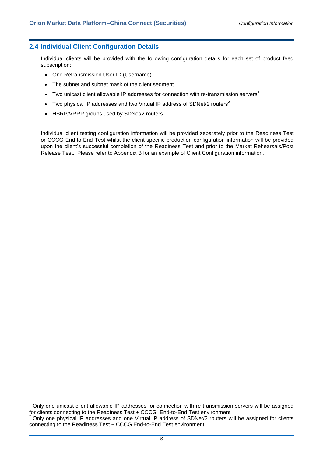#### <span id="page-9-0"></span>**2.4 Individual Client Configuration Details**

Individual clients will be provided with the following configuration details for each set of product feed subscription:

- One Retransmission User ID (Username)
- The subnet and subnet mask of the client segment
- Two unicast client allowable IP addresses for connection with re-transmission servers**<sup>1</sup>**
- Two physical IP addresses and two Virtual IP address of SDNet/2 routers**<sup>2</sup>**
- HSRP/VRRP groups used by SDNet/2 routers

-

Individual client testing configuration information will be provided separately prior to the Readiness Test or CCCG End-to-End Test whilst the client specific production configuration information will be provided upon the client's successful completion of the Readiness Test and prior to the Market Rehearsals/Post Release Test. Please refer to Appendix B for an example of Client Configuration information.

 $1$  Only one unicast client allowable IP addresses for connection with re-transmission servers will be assigned for clients connecting to the Readiness Test + CCCG End-to-End Test environment

 $2$  Only one physical IP addresses and one Virtual IP address of SDNet/2 routers will be assigned for clients connecting to the Readiness Test + CCCG End-to-End Test environment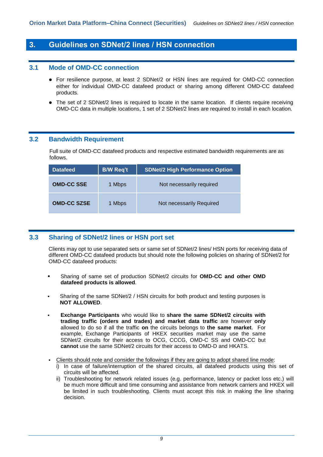## <span id="page-10-0"></span>**3. Guidelines on SDNet/2 lines / HSN connection**

#### <span id="page-10-1"></span>**3.1 Mode of OMD-CC connection**

- For resilience purpose, at least 2 SDNet/2 or HSN lines are required for OMD-CC connection either for individual OMD-CC datafeed product or sharing among different OMD-CC datafeed products.
- The set of 2 SDNet/2 lines is required to locate in the same location. If clients require receiving OMD-CC data in multiple locations, 1 set of 2 SDNet/2 lines are required to install in each location.

#### <span id="page-10-2"></span>**3.2 Bandwidth Requirement**

Full suite of OMD-CC datafeed products and respective estimated bandwidth requirements are as follows.

| <b>Datafeed</b>    | <b>B/W Req't</b> | <b>SDNet/2 High Performance Option</b> |
|--------------------|------------------|----------------------------------------|
| <b>OMD-CC SSE</b>  | 1 Mbps           | Not necessarily required               |
| <b>OMD-CC SZSE</b> | 1 Mbps           | Not necessarily Required               |

#### <span id="page-10-3"></span>**3.3 Sharing of SDNet/2 lines or HSN port set**

Clients may opt to use separated sets or same set of SDNet/2 lines/ HSN ports for receiving data of different OMD-CC datafeed products but should note the following policies on sharing of SDNet/2 for OMD-CC datafeed products:

- Sharing of same set of production SDNet/2 circuits for **OMD-CC and other OMD datafeed products is allowed**.
- Sharing of the same SDNet/2 / HSN circuits for both product and testing purposes is **NOT ALLOWED**.
- **Exchange Participants** who would like to **share the same SDNet/2 circuits with trading traffic (orders and trades) and market data traffic** are however **only** allowed to do so if all the traffic **on** the circuits belongs to **the same market**. For example, Exchange Participants of HKEX securities market may use the same SDNet/2 circuits for their access to OCG, CCCG, OMD-C SS and OMD-CC but **cannot** use the same SDNet/2 circuits for their access to OMD-D and HKATS.
- Clients should note and consider the followings if they are going to adopt shared line mode:
	- i) In case of failure/interruption of the shared circuits, all datafeed products using this set of circuits will be affected.
	- ii) Troubleshooting for network related issues (e.g. performance, latency or packet loss etc.) will be much more difficult and time consuming and assistance from network carriers and HKEX will be limited in such troubleshooting. Clients must accept this risk in making the line sharing decision.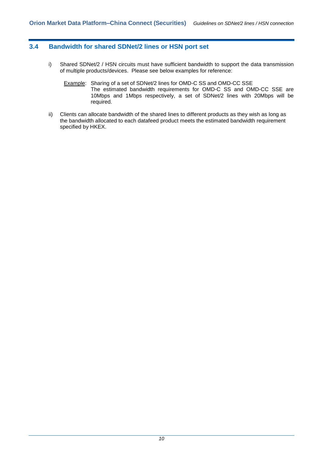#### <span id="page-11-0"></span>**3.4 Bandwidth for shared SDNet/2 lines or HSN port set**

- i) Shared SDNet/2 / HSN circuits must have sufficient bandwidth to support the data transmission of multiple products/devices. Please see below examples for reference:
	- Example: Sharing of a set of SDNet/2 lines for OMD-C SS and OMD-CC SSE The estimated bandwidth requirements for OMD-C SS and OMD-CC SSE are 10Mbps and 1Mbps respectively, a set of SDNet/2 lines with 20Mbps will be required.
- ii) Clients can allocate bandwidth of the shared lines to different products as they wish as long as the bandwidth allocated to each datafeed product meets the estimated bandwidth requirement specified by HKEX.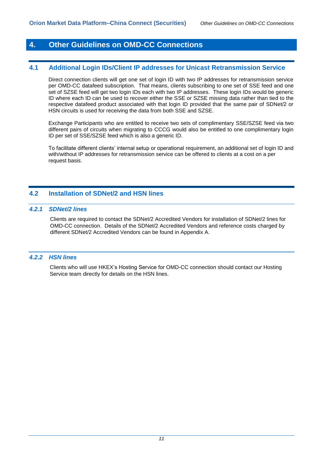## <span id="page-12-0"></span>**4. Other Guidelines on OMD-CC Connections**

#### <span id="page-12-1"></span>**4.1 Additional Login IDs/Client IP addresses for Unicast Retransmission Service**

Direct connection clients will get one set of login ID with two IP addresses for retransmission service per OMD-CC datafeed subscription. That means, clients subscribing to one set of SSE feed and one set of SZSE feed will get two login IDs each with two IP addresses. These login IDs would be generic ID where each ID can be used to recover either the SSE or SZSE missing data rather than tied to the respective datafeed product associated with that login ID provided that the same pair of SDNet/2 or HSN circuits is used for receiving the data from both SSE and SZSE.

Exchange Participants who are entitled to receive two sets of complimentary SSE/SZSE feed via two different pairs of circuits when migrating to CCCG would also be entitled to one complimentary login ID per set of SSE/SZSE feed which is also a generic ID.

To facilitate different clients' internal setup or operational requirement, an additional set of login ID and with/without IP addresses for retransmission service can be offered to clients at a cost on a per request basis.

#### <span id="page-12-2"></span>**4.2 Installation of SDNet/2 and HSN lines**

#### <span id="page-12-3"></span>*4.2.1 SDNet/2 lines*

Clients are required to contact the SDNet/2 Accredited Vendors for installation of SDNet/2 lines for OMD-CC connection. Details of the SDNet/2 Accredited Vendors and reference costs charged by different SDNet/2 Accredited Vendors can be found in Appendix A.

#### <span id="page-12-4"></span>*4.2.2 HSN lines*

Clients who will use HKEX's Hosting Service for OMD-CC connection should contact our Hosting Service team directly for details on the HSN lines.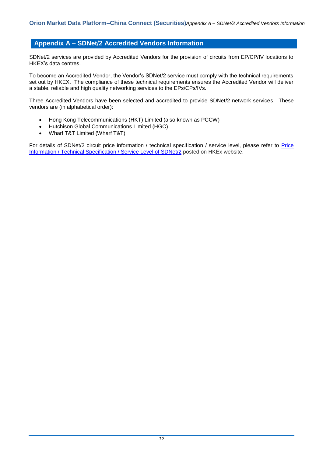#### <span id="page-13-0"></span>**Appendix A – SDNet/2 Accredited Vendors Information**

SDNet/2 services are provided by Accredited Vendors for the provision of circuits from EP/CP/IV locations to HKEX's data centres.

To become an Accredited Vendor, the Vendor's SDNet/2 service must comply with the technical requirements set out by HKEX. The compliance of these technical requirements ensures the Accredited Vendor will deliver a stable, reliable and high quality networking services to the EPs/CPs/IVs.

Three Accredited Vendors have been selected and accredited to provide SDNet/2 network services. These vendors are (in alphabetical order):

- Hong Kong Telecommunications (HKT) Limited (also known as PCCW)
- Hutchison Global Communications Limited (HGC)
- Wharf T&T Limited (Wharf T&T)

For details of SDNet/2 circuit price information / technical specification / service level, please refer to Price [Information / Technical Specification / Service Level of SDNet/2](http://www.hkex.com.hk/eng/prod/dataprod/omd/Documents/SDNet2_Pricing-Technical%20Specification-Service%20Level-OMDV1.pdf) posted on HKEx website.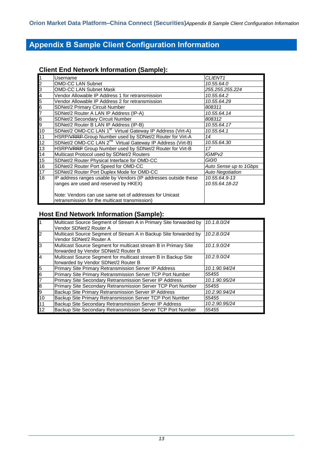## <span id="page-14-0"></span>**Appendix B Sample Client Configuration Information**

### **Client End Network Information (Sample):**

|                 | Username                                                                                                  | CLIENT <sub>1</sub>     |
|-----------------|-----------------------------------------------------------------------------------------------------------|-------------------------|
| 2               | <b>OMD-CC LAN Subnet</b>                                                                                  | 10.55.64.0              |
| 3               | <b>OMD-CC LAN Subnet Mask</b>                                                                             | 255.255.255.224         |
| 4               | Vendor Allowable IP Address 1 for retransmission                                                          | 10.55.64.2              |
| 5               | Vendor Allowable IP Address 2 for retransmission                                                          | 10.55.64.29             |
| 6               | <b>SDNet/2 Primary Circuit Number</b>                                                                     | 808311                  |
| 7               | SDNet/2 Router A LAN IP Address (IP-A)                                                                    | 10.55.64.14             |
| 8               | SDNet/2 Secondary Circuit Number                                                                          | 808312                  |
| 9               | SDNet/2 Router B LAN IP Address (IP-B)                                                                    | 10.55.64.17             |
| 10              | SDNet/2 OMD-CC LAN 1 <sup>st</sup> Virtual Gateway IP Address (Virt-A)                                    | 10.55.64.1              |
| 11              | HSRP/VRRP Group Number used by SDNet/2 Router for Virt-A                                                  | 14                      |
| $\overline{12}$ | SDNet/2 OMD-CC LAN 2 <sup>nd</sup> Virtual Gateway IP Address (Virt-B)                                    | 10.55.64.30             |
| 13              | HSRP/VRRP Group Number used by SDNet/2 Router for Virt-B                                                  | 17                      |
| $\overline{14}$ | Multicast Protocol used by SDNet/2 Routers                                                                | IGMP <sub>v2</sub>      |
| $\overline{15}$ | SDNet/2 Router Physical Interface for OMD-CC                                                              | Gi0/0                   |
| 16              | SDNet/2 Router Port Speed for OMD-CC                                                                      | Auto Sense up to 1Gbps  |
| 17              | SDNet/2 Router Port Duplex Mode for OMD-CC                                                                | <b>Auto Negotiation</b> |
| $\overline{18}$ | IP address ranges usable by Vendors (IP addresses outside these                                           | 10.55.64.9-13           |
|                 | ranges are used and reserved by HKEX)                                                                     | 10.55.64.18-22          |
|                 | Note: Vendors can use same set of addresses for Unicast<br>retransmission for the multicast transmission) |                         |

## **Host End Network Information (Sample):**

| $\overline{1}$                                                            | Multicast Source Segment of Stream A in Primary Site forwarded by | 10.1.8.0/24   |
|---------------------------------------------------------------------------|-------------------------------------------------------------------|---------------|
|                                                                           | Vendor SDNet/2 Router A                                           |               |
| $\overline{2}$                                                            | Multicast Source Segment of Stream A in Backup Site forwarded by  | 10.2.8.0/24   |
|                                                                           | Vendor SDNet/2 Router A                                           |               |
| $\overline{3}$                                                            | Multicast Source Segment for multicast stream B in Primary Site   | 10.1.9.0/24   |
|                                                                           | forwarded by Vendor SDNet/2 Router B                              |               |
| $\overline{4}$                                                            | Multicast Source Segment for multicast stream B in Backup Site    | 10.2.9.0/24   |
|                                                                           | forwarded by Vendor SDNet/2 Router B                              |               |
|                                                                           | Primary Site Primary Retransmission Server IP Address             | 10.1.90.94/24 |
|                                                                           | Primary Site Primary Retransmission Server TCP Port Number        | 55455         |
|                                                                           | Primary Site Secondary Retransmission Server IP Address           | 10.1.90.95/24 |
|                                                                           | Primary Site Secondary Retransmission Server TCP Port Number      | 55455         |
|                                                                           | Backup Site Primary Retransmission Server IP Address              | 10.2.90.94/24 |
|                                                                           | Backup Site Primary Retransmission Server TCP Port Number         | 55455         |
| $\frac{5}{6}$ $\frac{6}{7}$ $\frac{8}{10}$ $\frac{9}{10}$ $\frac{11}{12}$ | Backup Site Secondary Retransmission Server IP Address            | 10.2.90.95/24 |
|                                                                           | Backup Site Secondary Retransmission Server TCP Port Number       | 55455         |